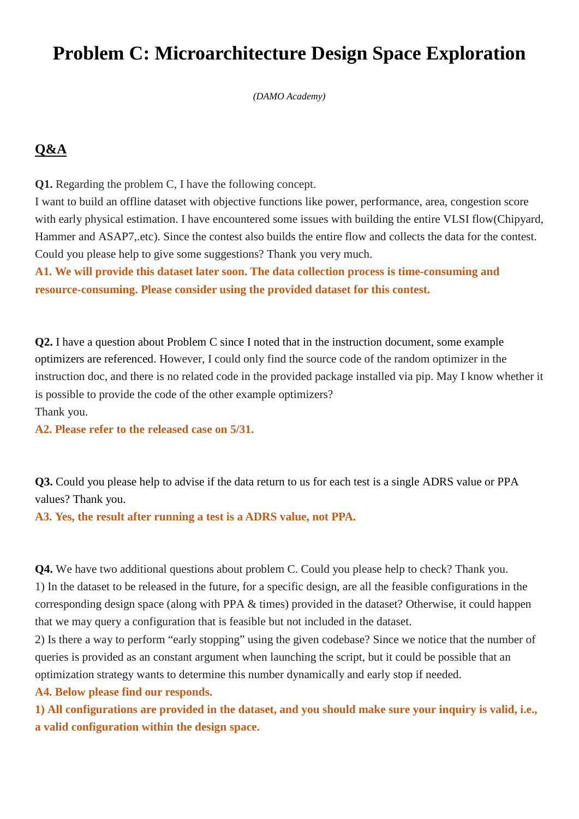## **Problem C: Microarchitecture Design Space Exploration**

*(DAMO Academy)*

## **Q&A**

**Q1.** Regarding the problem C, I have the following concept.

I want to build an offline dataset with objective functions like power, performance, area, congestion score with early physical estimation. I have encountered some issues with building the entire VLSI flow(Chipyard, Hammer and ASAP7,.etc). Since the contest also builds the entire flow and collects the data for the contest. Could you please help to give some suggestions? Thank you very much.

**A1. We will provide this dataset later soon. The data collection process is time-consuming and resource-consuming. Please consider using the provided dataset for this contest.**

**Q2.** I have a question about Problem C since I noted that in the instruction document, some example optimizers are referenced. However, I could only find the source code of the random optimizer in the instruction doc, and there is no related code in the provided package installed via pip. May I know whether it is possible to provide the code of the other example optimizers? Thank you.

**A2. Please refer to the released case on 5/31.**

**Q3.** Could you please help to advise if the data return to us for each test is a single ADRS value or PPA values? Thank you.

**A3. Yes, the result after running a test is a ADRS value, not PPA.**

**Q4.** We have two additional questions about problem C. Could you please help to check? Thank you. 1) In the dataset to be released in the future, for a specific design, are all the feasible configurations in the corresponding design space (along with PPA & times) provided in the dataset? Otherwise, it could happen that we may query a configuration that is feasible but not included in the dataset.

2) Is there a way to perform "early stopping" using the given codebase? Since we notice that the number of queries is provided as an constant argument when launching the script, but it could be possible that an optimization strategy wants to determine this number dynamically and early stop if needed.

**A4. Below please find our responds.**

**1) All configurations are provided in the dataset, and you should make sure your inquiry is valid, i.e., a valid configuration within the design space.**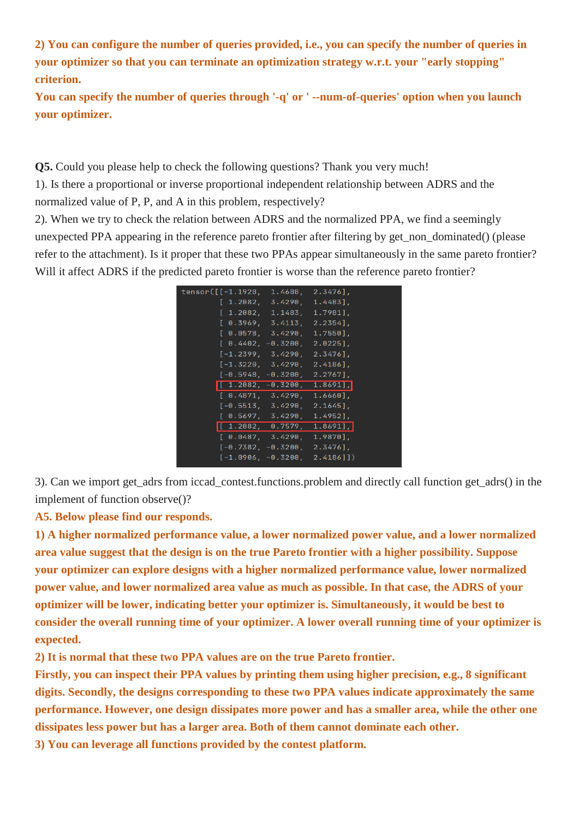**2) You can configure the number of queries provided, i.e., you can specify the number of queries in your optimizer so that you can terminate an optimization strategy w.r.t. your "early stopping" criterion.**

**You can specify the number of queries through '-q' or ' --num-of-queries' option when you launch your optimizer.**

**Q5.** Could you please help to check the following questions? Thank you very much!

1). Is there a proportional or inverse proportional independent relationship between ADRS and the normalized value of P, P, and A in this problem, respectively?

2). When we try to check the relation between ADRS and the normalized PPA, we find a seemingly unexpected PPA appearing in the reference pareto frontier after filtering by get\_non\_dominated() (please refer to the attachment). Is it proper that these two PPAs appear simultaneously in the same pareto frontier? Will it affect ADRS if the predicted pareto frontier is worse than the reference pareto frontier?

| tensor([[-1.1928, 1.4688, 2.3476], |                                                            |  |
|------------------------------------|------------------------------------------------------------|--|
|                                    |                                                            |  |
|                                    | [ 1.2082, 3.4290, 1.4483],                                 |  |
|                                    | [1.2082, 1.1483, 1.7981],                                  |  |
|                                    | [0.3969, 3.4113, 2.2354],                                  |  |
|                                    | [0.0578, 3.4290, 1.7550],                                  |  |
|                                    |                                                            |  |
|                                    | $[-1.2399, 3.4290, 2.3476],$                               |  |
|                                    | $[-1.3220, 3.4290, 2.4186],$                               |  |
|                                    | $[-0.5948, -0.3200, 2.2767]$ ,                             |  |
|                                    | $\begin{bmatrix} 1.2082, -0.3200, 1.8691 \end{bmatrix}$    |  |
|                                    | [0.4871, 3.4290, 1.6660],                                  |  |
|                                    | $[-0.5513, 3.4290, 2.1645]$                                |  |
|                                    | [0.5697, 3.4290, 1.4952],                                  |  |
|                                    | $\begin{bmatrix} 1.2082, & 0.7579, & 1.8691 \end{bmatrix}$ |  |
|                                    | [0.0487, 3.4290, 1.9870],                                  |  |
|                                    | $[-0.7382, -0.3200, 2.3476],$                              |  |
|                                    | $[-1.0906, -0.3200, 2.4186$ ]]                             |  |
|                                    |                                                            |  |

3). Can we import get\_adrs from iccad\_contest.functions.problem and directly call function get\_adrs() in the implement of function observe()?

**A5. Below please find our responds.**

**1) A higher normalized performance value, a lower normalized power value, and a lower normalized area value suggest that the design is on the true Pareto frontier with a higher possibility. Suppose your optimizer can explore designs with a higher normalized performance value, lower normalized power value, and lower normalized area value as much as possible. In that case, the ADRS of your optimizer will be lower, indicating better your optimizer is. Simultaneously, it would be best to consider the overall running time of your optimizer. A lower overall running time of your optimizer is expected.**

**2) It is normal that these two PPA values are on the true Pareto frontier.**

**Firstly, you can inspect their PPA values by printing them using higher precision, e.g., 8 significant digits. Secondly, the designs corresponding to these two PPA values indicate approximately the same performance. However, one design dissipates more power and has a smaller area, while the other one dissipates less power but has a larger area. Both of them cannot dominate each other.**

**3) You can leverage all functions provided by the contest platform.**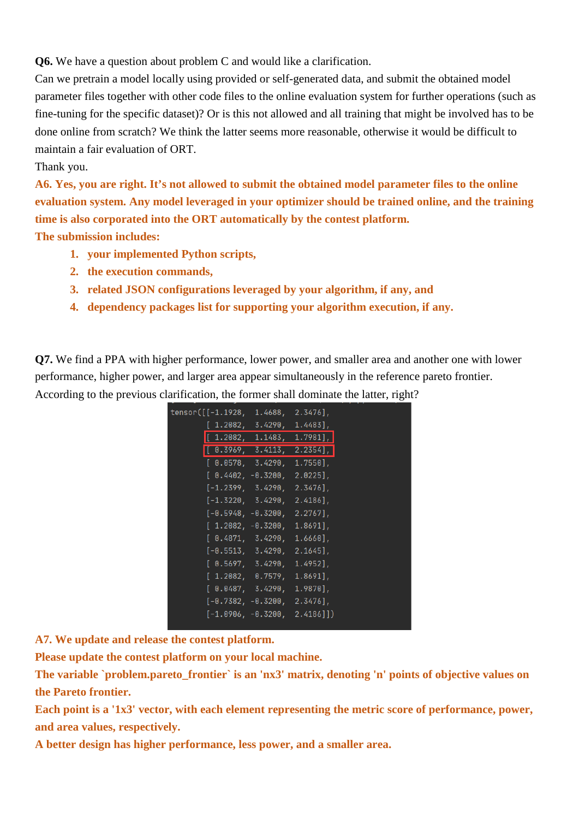**Q6.** We have a question about problem C and would like a clarification.

Can we pretrain a model locally using provided or self-generated data, and submit the obtained model parameter files together with other code files to the online evaluation system for further operations (such as fine-tuning for the specific dataset)? Or is this not allowed and all training that might be involved has to be done online from scratch? We think the latter seems more reasonable, otherwise it would be difficult to maintain a fair evaluation of ORT.

## Thank you.

**A6. Yes, you are right. It's not allowed to submit the obtained model parameter files to the online evaluation system. Any model leveraged in your optimizer should be trained online, and the training time is also corporated into the ORT automatically by the contest platform.**

**The submission includes:**

- **1. your implemented Python scripts,**
- **2. the execution commands,**
- **3. related JSON configurations leveraged by your algorithm, if any, and**
- **4. dependency packages list for supporting your algorithm execution, if any.**

**Q7.** We find a PPA with higher performance, lower power, and smaller area and another one with lower performance, higher power, and larger area appear simultaneously in the reference pareto frontier. According to the previous clarification, the former shall dominate the latter, right?

| tensor([[-1.1928, 1.4688, 2.3476], |                                                        |  |
|------------------------------------|--------------------------------------------------------|--|
|                                    |                                                        |  |
|                                    | [ 1.2082, 3.4290, 1.4483],                             |  |
|                                    | $\begin{bmatrix} 1.2082, 1.1483, 1.7981 \end{bmatrix}$ |  |
|                                    | [0.3969, 3.4113, 2.2354],                              |  |
|                                    | [0.0578, 3.4290, 1.7550],                              |  |
|                                    | $[0.4402, -0.3200, 2.0225],$                           |  |
|                                    | $[-1.2399, 3.4290, 2.3476],$                           |  |
|                                    | $[-1.3220, 3.4290, 2.4186],$                           |  |
|                                    | $[-0.5948, -0.3200, 2.2767]$ ,                         |  |
|                                    | $[1.2082, -0.3200, 1.8691],$                           |  |
|                                    | [ 0.4871, 3.4290, 1.6660],                             |  |
|                                    | $[-0.5513, 3.4290, 2.1645],$                           |  |
|                                    | [0.5697, 3.4290, 1.4952],                              |  |
|                                    | [1.2082, 0.7579, 1.8691],                              |  |
|                                    | [0.0487, 3.4290, 1.9870],                              |  |
|                                    | $[-0.7382, -0.3200, 2.3476],$                          |  |
|                                    | $[-1.0906, -0.3200, 2.4186]]$                          |  |
|                                    |                                                        |  |

**A7. We update and release the contest platform.**

**Please update the contest platform on your local machine.**

The variable `problem.pareto frontier` is an 'nx3' matrix, denoting 'n' points of objective values on **the Pareto frontier.**

**Each point is a '1x3' vector, with each element representing the metric score of performance, power, and area values, respectively.**

**A better design has higher performance, less power, and a smaller area.**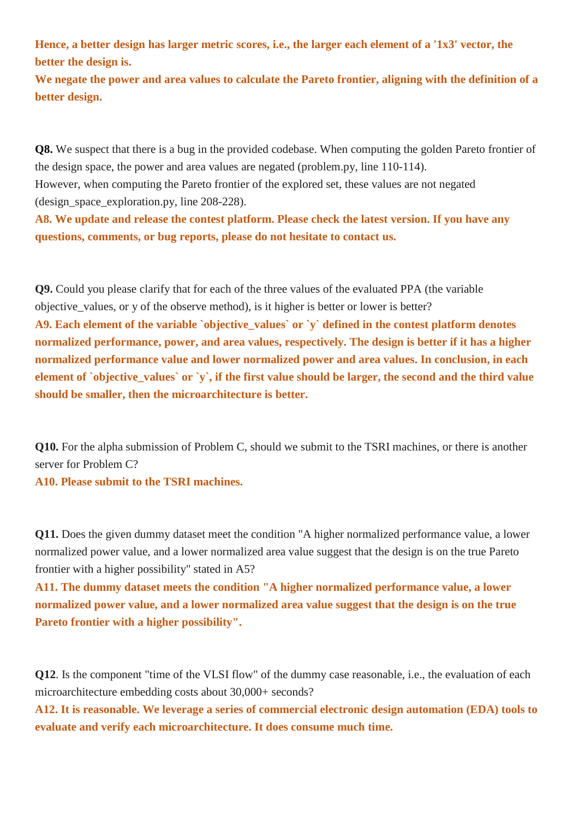**Hence, a better design has larger metric scores, i.e., the larger each element of a '1x3' vector, the better the design is.**

**We negate the power and area values to calculate the Pareto frontier, aligning with the definition of a better design.**

**Q8.** We suspect that there is a bug in the provided codebase. When computing the golden Pareto frontier of the design space, the power and area values are negated (problem.py, line 110-114). However, when computing the Pareto frontier of the explored set, these values are not negated (design\_space\_exploration.py, line 208-228).

**A8. We update and release the contest platform. Please check the latest version. If you have any questions, comments, or bug reports, please do not hesitate to contact us.**

**Q9.** Could you please clarify that for each of the three values of the evaluated PPA (the variable objective\_values, or y of the observe method), is it higher is better or lower is better? **A9. Each element of the variable `objective\_values` or `y` defined in the contest platform denotes normalized performance, power, and area values, respectively. The design is better if it has a higher normalized performance value and lower normalized power and area values. In conclusion, in each element of `objective\_values` or `y`, if the first value should be larger, the second and the third value should be smaller, then the microarchitecture is better.**

**Q10.** For the alpha submission of Problem C, should we submit to the TSRI machines, or there is another server for Problem C?

**A10. Please submit to the TSRI machines.**

**Q11.** Does the given dummy dataset meet the condition "A higher normalized performance value, a lower normalized power value, and a lower normalized area value suggest that the design is on the true Pareto frontier with a higher possibility" stated in A5?

**A11. The dummy dataset meets the condition "A higher normalized performance value, a lower normalized power value, and a lower normalized area value suggest that the design is on the true Pareto frontier with a higher possibility".**

**Q12**. Is the component "time of the VLSI flow" of the dummy case reasonable, i.e., the evaluation of each microarchitecture embedding costs about 30,000+ seconds?

**A12. It is reasonable. We leverage a series of commercial electronic design automation (EDA) tools to evaluate and verify each microarchitecture. It does consume much time.**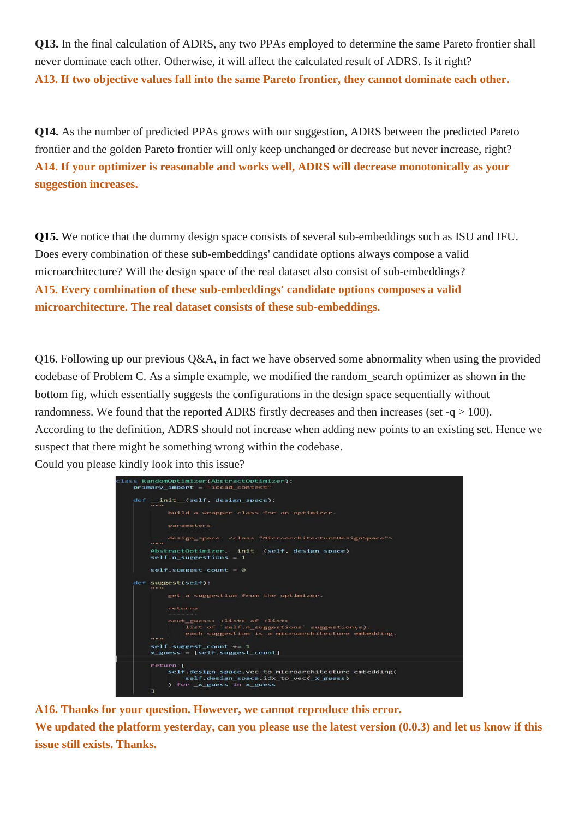**Q13.** In the final calculation of ADRS, any two PPAs employed to determine the same Pareto frontier shall never dominate each other. Otherwise, it will affect the calculated result of ADRS. Is it right? **A13. If two objective values fall into the same Pareto frontier, they cannot dominate each other.**

**Q14.** As the number of predicted PPAs grows with our suggestion, ADRS between the predicted Pareto frontier and the golden Pareto frontier will only keep unchanged or decrease but never increase, right? **A14. If your optimizer is reasonable and works well, ADRS will decrease monotonically as your suggestion increases.**

**Q15.** We notice that the dummy design space consists of several sub-embeddings such as ISU and IFU. Does every combination of these sub-embeddings' candidate options always compose a valid microarchitecture? Will the design space of the real dataset also consist of sub-embeddings? **A15. Every combination of these sub-embeddings' candidate options composes a valid microarchitecture. The real dataset consists of these sub-embeddings.**

Q16. Following up our previous Q&A, in fact we have observed some abnormality when using the provided codebase of Problem C. As a simple example, we modified the random\_search optimizer as shown in the bottom fig, which essentially suggests the configurations in the design space sequentially without randomness. We found that the reported ADRS firstly decreases and then increases (set  $-q > 100$ ). According to the definition, ADRS should not increase when adding new points to an existing set. Hence we suspect that there might be something wrong within the codebase. Could you please kindly look into this issue?

| def __ init (self, design space):<br><b>BR 99 99</b>                                                                |
|---------------------------------------------------------------------------------------------------------------------|
| build a wrapper class for an optimizer.                                                                             |
| parameters                                                                                                          |
| design_space: <class "microarchitecturedesignspace"=""><br/><b>10 10 10</b></class>                                 |
| AbstractOptimizer. init (self, design space)<br>$self.n$ suggestions = 1                                            |
| $self.$ suggest count = $0$                                                                                         |
| def suggest(self):<br><b>THE REAL PRO</b>                                                                           |
| get a suggestion from the optimizer.                                                                                |
| returns                                                                                                             |
|                                                                                                                     |
| next guess: <list> of <list></list></list>                                                                          |
| list of $self.n$ suggestions suggestion(s).<br>each suggestion is a microarchitecture embedding.<br><b>95 99 99</b> |
| $self.suggest$ count $+= 1$                                                                                         |
| $x\_guess = [self.suggest_count]$                                                                                   |
| return [                                                                                                            |
| self.design_space.vec_to_microarchitecture_embedding(                                                               |
| self.design_space.idx_to_vec( x guess)                                                                              |

**A16. Thanks for your question. However, we cannot reproduce this error.**

We updated the platform yesterday, can you please use the latest version  $(0.0.3)$  and let us know if this **issue still exists. Thanks.**